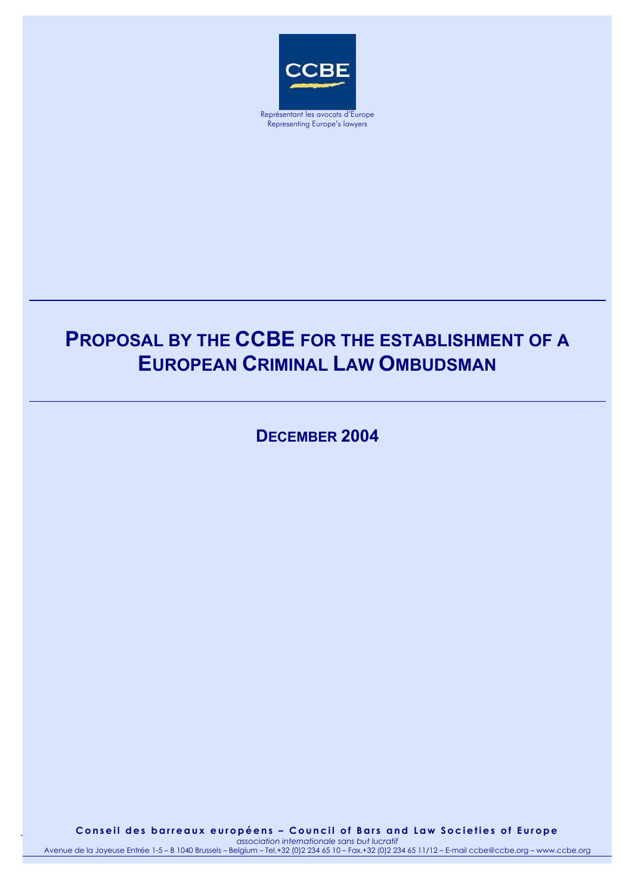

Representing Europe's lawyers

## **PROPOSAL BY THE CCBE FOR THE ESTABLISHMENT OF A EUROPEAN CRIMINAL LAW OMBUDSMAN**

**DECEMBER 2004**

Conseil des barreaux européens – Council of Bars and Law Societies of Europe 08.12.2004 *association internationale sans but lucratif* 1 Avenue de la Joyeuse Entrée 1-5 – B 1040 Brussels – Belgium – Tel.+32 (0)2 234 65 10 – Fax.+32 (0)2 234 65 11/12 – E-mail ccbe@ccbe.org – www.ccbe.org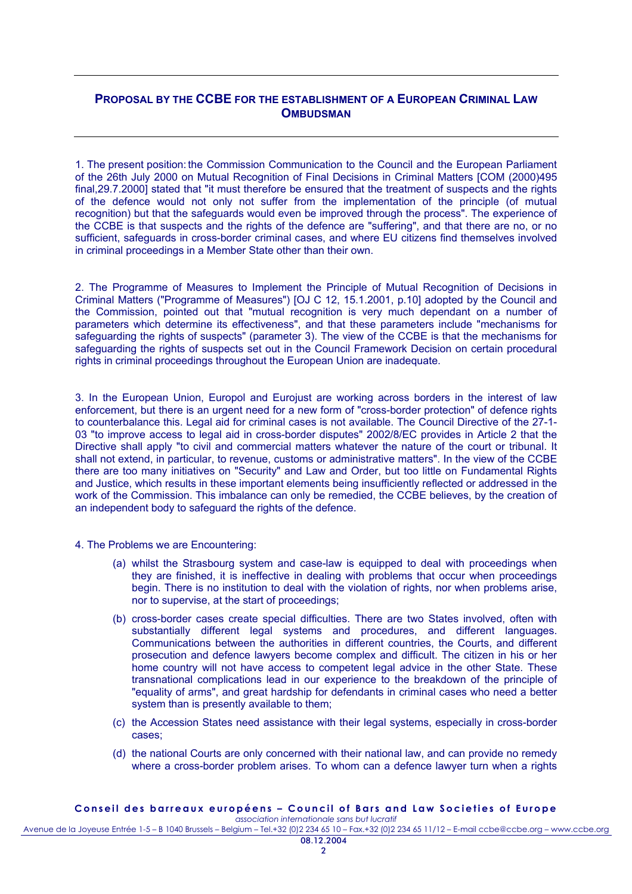## **PROPOSAL BY THE CCBE FOR THE ESTABLISHMENT OF A EUROPEAN CRIMINAL LAW OMBUDSMAN**

1. The present position: the Commission Communication to the Council and the European Parliament of the 26th July 2000 on Mutual Recognition of Final Decisions in Criminal Matters [COM (2000)495 final,29.7.2000] stated that "it must therefore be ensured that the treatment of suspects and the rights of the defence would not only not suffer from the implementation of the principle (of mutual recognition) but that the safeguards would even be improved through the process". The experience of the CCBE is that suspects and the rights of the defence are "suffering", and that there are no, or no sufficient, safeguards in cross-border criminal cases, and where EU citizens find themselves involved in criminal proceedings in a Member State other than their own.

2. The Programme of Measures to Implement the Principle of Mutual Recognition of Decisions in Criminal Matters ("Programme of Measures") [OJ C 12, 15.1.2001, p.10] adopted by the Council and the Commission, pointed out that "mutual recognition is very much dependant on a number of parameters which determine its effectiveness", and that these parameters include "mechanisms for safeguarding the rights of suspects" (parameter 3). The view of the CCBE is that the mechanisms for safeguarding the rights of suspects set out in the Council Framework Decision on certain procedural rights in criminal proceedings throughout the European Union are inadequate.

3. In the European Union, Europol and Eurojust are working across borders in the interest of law enforcement, but there is an urgent need for a new form of "cross-border protection" of defence rights to counterbalance this. Legal aid for criminal cases is not available. The Council Directive of the 27-1- 03 "to improve access to legal aid in cross-border disputes" 2002/8/EC provides in Article 2 that the Directive shall apply "to civil and commercial matters whatever the nature of the court or tribunal. It shall not extend, in particular, to revenue, customs or administrative matters". In the view of the CCBE there are too many initiatives on "Security" and Law and Order, but too little on Fundamental Rights and Justice, which results in these important elements being insufficiently reflected or addressed in the work of the Commission. This imbalance can only be remedied, the CCBE believes, by the creation of an independent body to safeguard the rights of the defence.

- 4. The Problems we are Encountering:
	- (a) whilst the Strasbourg system and case-law is equipped to deal with proceedings when they are finished, it is ineffective in dealing with problems that occur when proceedings begin. There is no institution to deal with the violation of rights, nor when problems arise, nor to supervise, at the start of proceedings;
	- (b) cross-border cases create special difficulties. There are two States involved, often with substantially different legal systems and procedures, and different languages. Communications between the authorities in different countries, the Courts, and different prosecution and defence lawyers become complex and difficult. The citizen in his or her home country will not have access to competent legal advice in the other State. These transnational complications lead in our experience to the breakdown of the principle of "equality of arms", and great hardship for defendants in criminal cases who need a better system than is presently available to them;
	- (c) the Accession States need assistance with their legal systems, especially in cross-border cases;
	- (d) the national Courts are only concerned with their national law, and can provide no remedy where a cross-border problem arises. To whom can a defence lawyer turn when a rights

Avenue de la Joyeuse Entrée 1-5 – B 1040 Brussels – Belgium – Tel.+32 (0)2 234 65 10 – Fax.+32 (0)2 234 65 11/12 – E-mail ccbe@ccbe.org – www.ccbe.org